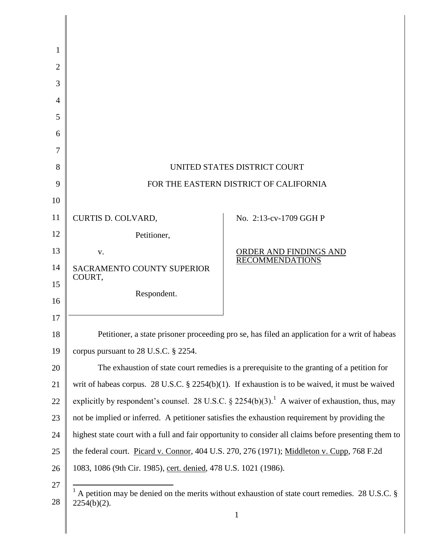| 1  |                                                                                                                  |                               |
|----|------------------------------------------------------------------------------------------------------------------|-------------------------------|
| 2  |                                                                                                                  |                               |
| 3  |                                                                                                                  |                               |
| 4  |                                                                                                                  |                               |
| 5  |                                                                                                                  |                               |
| 6  |                                                                                                                  |                               |
| 7  |                                                                                                                  |                               |
| 8  | UNITED STATES DISTRICT COURT                                                                                     |                               |
| 9  | FOR THE EASTERN DISTRICT OF CALIFORNIA                                                                           |                               |
| 10 |                                                                                                                  |                               |
| 11 | CURTIS D. COLVARD,                                                                                               | No. 2:13-cv-1709 GGH P        |
| 12 | Petitioner,                                                                                                      |                               |
| 13 | V.                                                                                                               | <b>ORDER AND FINDINGS AND</b> |
| 14 | <b>SACRAMENTO COUNTY SUPERIOR</b>                                                                                | <b>RECOMMENDATIONS</b>        |
| 15 | COURT,<br>Respondent.                                                                                            |                               |
| 16 |                                                                                                                  |                               |
| 17 |                                                                                                                  |                               |
| 18 | Petitioner, a state prisoner proceeding pro se, has filed an application for a writ of habeas                    |                               |
| 19 | corpus pursuant to $28$ U.S.C. $\S$ $2254$ .                                                                     |                               |
| 20 | The exhaustion of state court remedies is a prerequisite to the granting of a petition for                       |                               |
| 21 | writ of habeas corpus. 28 U.S.C. $\S$ 2254(b)(1). If exhaustion is to be waived, it must be waived               |                               |
| 22 | explicitly by respondent's counsel. 28 U.S.C. § 2254(b)(3). <sup>1</sup> A waiver of exhaustion, thus, may       |                               |
| 23 | not be implied or inferred. A petitioner satisfies the exhaustion requirement by providing the                   |                               |
| 24 | highest state court with a full and fair opportunity to consider all claims before presenting them to            |                               |
| 25 | the federal court. Picard v. Connor, 404 U.S. 270, 276 (1971); Middleton v. Cupp, 768 F.2d                       |                               |
| 26 | 1083, 1086 (9th Cir. 1985), cert. denied, 478 U.S. 1021 (1986).                                                  |                               |
| 27 | A petition may be denied on the merits without exhaustion of state court remedies. 28 U.S.C. §<br>$2254(b)(2)$ . |                               |
| 28 |                                                                                                                  |                               |
|    |                                                                                                                  | $\mathbf{1}$                  |